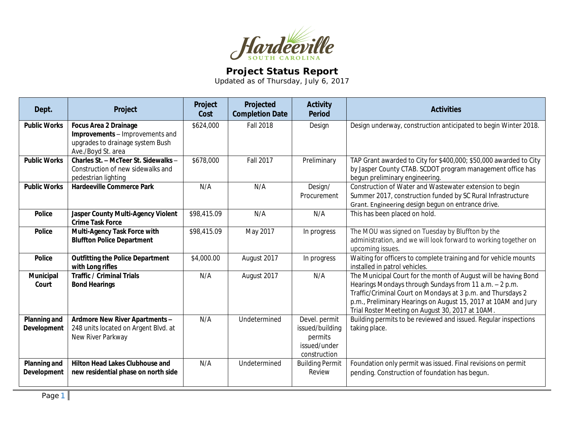

## **Project Status Report**

Updated as of Thursday, July 6, 2017

| Dept.                                     | Project                                                                                                                   | Project<br>Cost | Projected<br><b>Completion Date</b> | <b>Activity</b><br><b>Period</b>                                            | <b>Activities</b>                                                                                                                                                                                                                                                                                              |
|-------------------------------------------|---------------------------------------------------------------------------------------------------------------------------|-----------------|-------------------------------------|-----------------------------------------------------------------------------|----------------------------------------------------------------------------------------------------------------------------------------------------------------------------------------------------------------------------------------------------------------------------------------------------------------|
| <b>Public Works</b>                       | <b>Focus Area 2 Drainage</b><br>Improvements - Improvements and<br>upgrades to drainage system Bush<br>Ave./Boyd St. area | \$624,000       | <b>Fall 2018</b>                    | Design                                                                      | Design underway, construction anticipated to begin Winter 2018.                                                                                                                                                                                                                                                |
| <b>Public Works</b>                       | Charles St. - McTeer St. Sidewalks -<br>Construction of new sidewalks and<br>pedestrian lighting                          | \$678,000       | Fall 2017                           | Preliminary                                                                 | TAP Grant awarded to City for \$400,000; \$50,000 awarded to City<br>by Jasper County CTAB. SCDOT program management office has<br>begun preliminary engineering.                                                                                                                                              |
| <b>Public Works</b>                       | <b>Hardeeville Commerce Park</b>                                                                                          | N/A             | N/A                                 | Design/<br>Procurement                                                      | Construction of Water and Wastewater extension to begin<br>Summer 2017, construction funded by SC Rural Infrastructure<br>Grant. Engineering design begun on entrance drive.                                                                                                                                   |
| <b>Police</b>                             | Jasper County Multi-Agency Violent<br><b>Crime Task Force</b>                                                             | \$98,415.09     | N/A                                 | N/A                                                                         | This has been placed on hold.                                                                                                                                                                                                                                                                                  |
| <b>Police</b>                             | Multi-Agency Task Force with<br><b>Bluffton Police Department</b>                                                         | \$98,415.09     | May 2017                            | In progress                                                                 | The MOU was signed on Tuesday by Bluffton by the<br>administration, and we will look forward to working together on<br>upcoming issues.                                                                                                                                                                        |
| <b>Police</b>                             | <b>Outfitting the Police Department</b><br>with Long rifles                                                               | \$4,000.00      | August 2017                         | In progress                                                                 | Waiting for officers to complete training and for vehicle mounts<br>installed in patrol vehicles.                                                                                                                                                                                                              |
| Municipal<br>Court                        | <b>Traffic / Criminal Trials</b><br><b>Bond Hearings</b>                                                                  | N/A             | August 2017                         | N/A                                                                         | The Municipal Court for the month of August will be having Bond<br>Hearings Mondays through Sundays from 11 a.m. - 2 p.m.<br>Traffic/Criminal Court on Mondays at 3 p.m. and Thursdays 2<br>p.m., Preliminary Hearings on August 15, 2017 at 10AM and Jury<br>Trial Roster Meeting on August 30, 2017 at 10AM. |
| <b>Planning and</b><br><b>Development</b> | Ardmore New River Apartments -<br>248 units located on Argent Blvd. at<br>New River Parkway                               | N/A             | Undetermined                        | Devel. permit<br>issued/building<br>permits<br>issued/under<br>construction | Building permits to be reviewed and issued. Regular inspections<br>taking place.                                                                                                                                                                                                                               |
| <b>Planning and</b><br><b>Development</b> | <b>Hilton Head Lakes Clubhouse and</b><br>new residential phase on north side                                             | N/A             | Undetermined                        | <b>Building Permit</b><br>Review                                            | Foundation only permit was issued. Final revisions on permit<br>pending. Construction of foundation has begun.                                                                                                                                                                                                 |